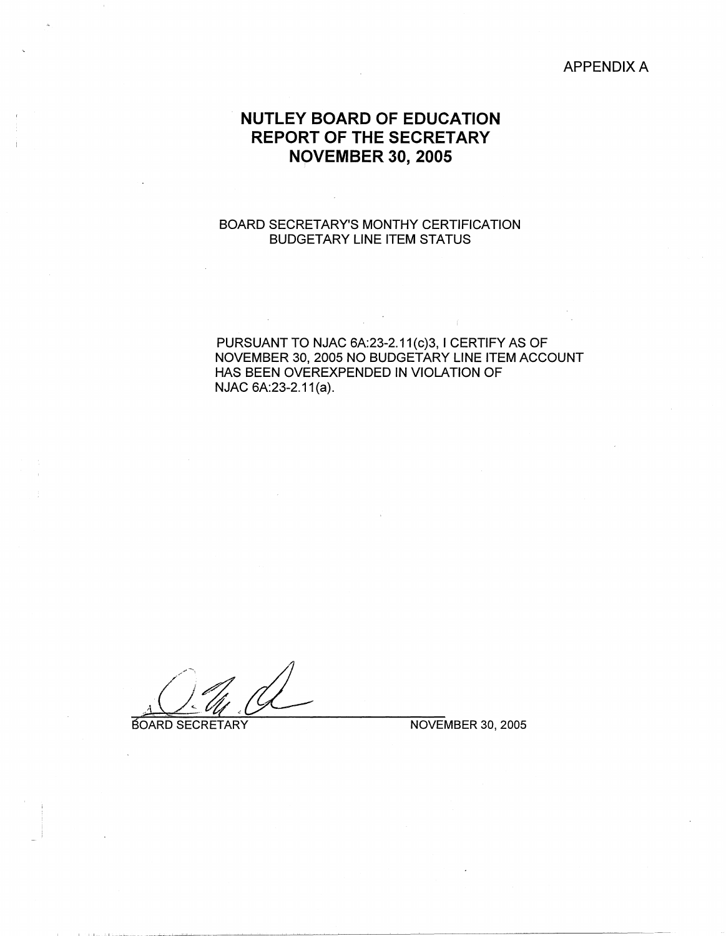## APPENDIX A

## . **NUTLEY BOARD OF EDUCATION REPORT OF THE SECRETARY N9VEMBER 30, 2005**

## BOARD SECRETARY'S MONTHY CERTIFICATION BUDGETARY LINE ITEM STATUS

## PURSUANT TO NJAC 6A:23-2.11(c)3, I CERTIFY AS OF NOVEMBER 30, 2005 NO BUDGETARY LINE ITEM ACCOUNT HAS BEEN OVEREXPENDED IN VIOLATION OF NJAC 6A:23-2.11(a).

**BOARD SECRETARY NOVEMBER 30, 2005**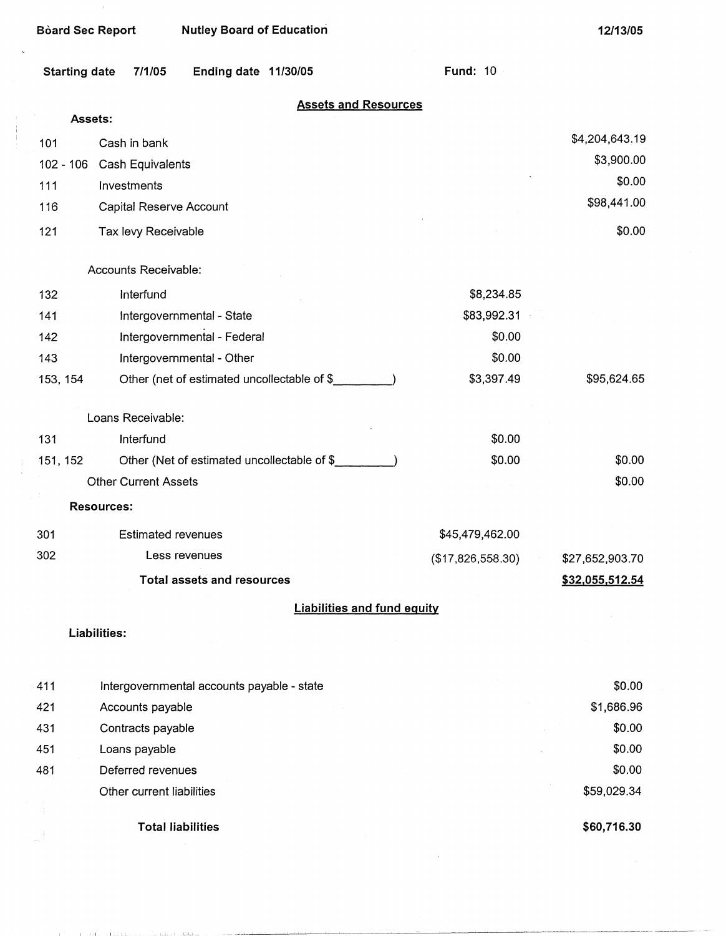| <b>Board Sec Report</b> |                             | <b>Nutley Board of Education</b>             |                                             |                                    | 12/13/05        |
|-------------------------|-----------------------------|----------------------------------------------|---------------------------------------------|------------------------------------|-----------------|
| <b>Starting date</b>    | 7/1/05                      | Ending date 11/30/05                         |                                             | <b>Fund: 10</b>                    |                 |
|                         |                             |                                              |                                             | <b>Assets and Resources</b>        |                 |
| Assets:                 |                             |                                              |                                             |                                    |                 |
| 101                     | Cash in bank                |                                              |                                             |                                    | \$4,204,643.19  |
| $102 - 106$             | Cash Equivalents            |                                              |                                             |                                    | \$3,900.00      |
| 111                     | Investments                 |                                              |                                             |                                    | \$0.00          |
| 116                     | Capital Reserve Account     |                                              |                                             |                                    | \$98,441.00     |
| 121                     | Tax levy Receivable         |                                              |                                             |                                    | \$0.00          |
|                         | Accounts Receivable:        |                                              |                                             |                                    |                 |
| 132                     | Interfund                   |                                              |                                             | \$8,234.85                         |                 |
| 141                     |                             | Intergovernmental - State                    |                                             | \$83,992.31                        |                 |
| 142                     |                             | Intergovernmental - Federal                  |                                             | \$0.00                             |                 |
| 143                     |                             | Intergovernmental - Other                    |                                             | \$0.00                             |                 |
| 153, 154                |                             | Other (net of estimated uncollectable of \$_ |                                             | \$3,397.49                         | \$95,624.65     |
|                         | Loans Receivable:           |                                              |                                             |                                    |                 |
| 131                     | Interfund                   |                                              |                                             | \$0.00                             |                 |
| 151, 152                |                             |                                              | Other (Net of estimated uncollectable of \$ | \$0.00                             | \$0.00          |
|                         | <b>Other Current Assets</b> |                                              |                                             |                                    | \$0.00          |
|                         | <b>Resources:</b>           |                                              |                                             |                                    |                 |
| 301                     | <b>Estimated revenues</b>   |                                              |                                             | \$45,479,462.00                    |                 |
| 302                     |                             | Less revenues                                |                                             | (\$17,826,558.30)                  | \$27,652,903.70 |
|                         |                             | <b>Total assets and resources</b>            |                                             |                                    | \$32,055,512.54 |
|                         |                             |                                              |                                             | <b>Liabilities and fund equity</b> |                 |
|                         | Liabilities:                |                                              |                                             |                                    |                 |
|                         |                             |                                              |                                             |                                    |                 |
| 411                     |                             | Intergovernmental accounts payable - state   |                                             |                                    | \$0.00          |
| 421                     | Accounts payable            |                                              |                                             |                                    | \$1,686.96      |
| 431                     | Contracts payable           |                                              |                                             |                                    | \$0.00          |

451 Loans payable 481 Deferred revenues

 $\bar{1}$ 

 $\ddot{\phantom{a}}$ 

 $\frac{1}{1}$ 

 $\frac{1}{4}$ 

 $\frac{1}{\sqrt{2}}$ 

Other current liabilities

**Total liabilities** 

**\$60,716.30** 

 $\sim$ 

\$59,029.34

\$0.00 \$0.00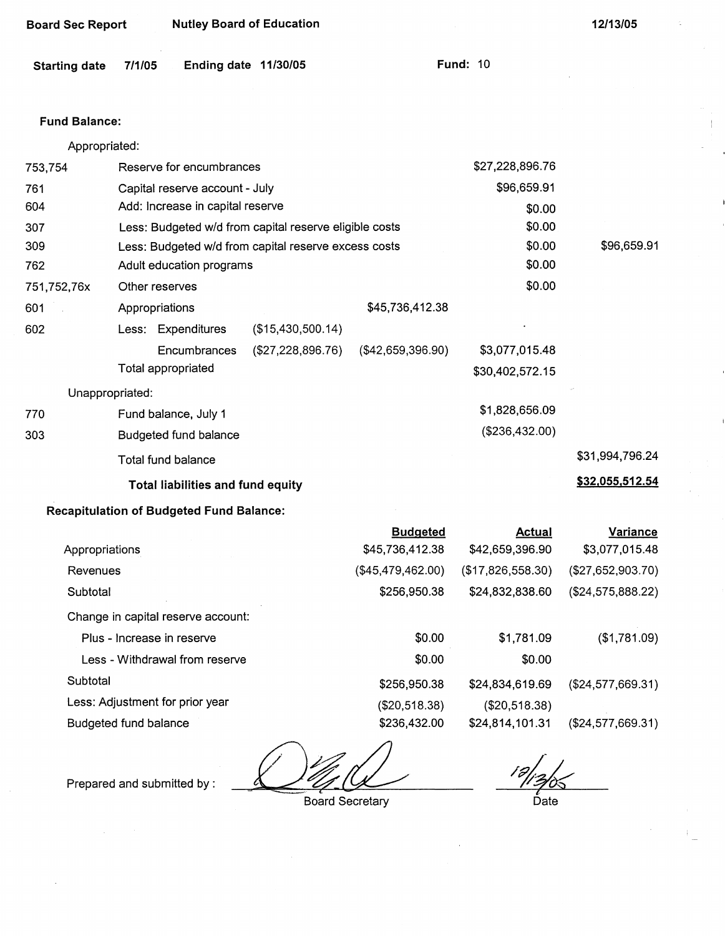| <b>Board Sec Report</b> |                | <b>Nutley Board of Education</b>                |                                                        |                                    |                                  | 12/13/05                          |
|-------------------------|----------------|-------------------------------------------------|--------------------------------------------------------|------------------------------------|----------------------------------|-----------------------------------|
| <b>Starting date</b>    | 7/1/05         |                                                 | Ending date 11/30/05                                   |                                    | <b>Fund: 10</b>                  |                                   |
|                         |                |                                                 |                                                        |                                    |                                  |                                   |
| <b>Fund Balance:</b>    |                |                                                 |                                                        |                                    |                                  |                                   |
| Appropriated:           |                |                                                 |                                                        |                                    |                                  |                                   |
| 753,754                 |                | Reserve for encumbrances                        |                                                        |                                    | \$27,228,896.76                  |                                   |
| 761                     |                | Capital reserve account - July                  |                                                        |                                    | \$96,659.91                      |                                   |
| 604                     |                | Add: Increase in capital reserve                |                                                        |                                    | \$0.00                           |                                   |
| 307                     |                |                                                 | Less: Budgeted w/d from capital reserve eligible costs |                                    | \$0.00                           |                                   |
| 309                     |                |                                                 | Less: Budgeted w/d from capital reserve excess costs   |                                    | \$0.00                           | \$96,659.91                       |
| 762                     |                | Adult education programs                        |                                                        |                                    | \$0.00                           |                                   |
| 751,752,76x             |                | Other reserves                                  |                                                        |                                    | \$0.00                           |                                   |
| 601                     | Appropriations |                                                 |                                                        | \$45,736,412.38                    |                                  |                                   |
| 602                     |                | Less: Expenditures                              | (\$15,430,500.14)                                      |                                    |                                  |                                   |
|                         |                | Encumbrances                                    | (\$27,228,896.76)                                      | (\$42,659,396.90)                  | \$3,077,015.48                   |                                   |
|                         |                | Total appropriated                              |                                                        |                                    | \$30,402,572.15                  |                                   |
| Unappropriated:         |                |                                                 |                                                        |                                    |                                  |                                   |
| 770                     |                | Fund balance, July 1                            |                                                        |                                    | \$1,828,656.09                   |                                   |
| 303                     |                | Budgeted fund balance                           |                                                        |                                    | (\$236,432.00)                   |                                   |
|                         |                | Total fund balance                              |                                                        |                                    |                                  | \$31,994,796.24                   |
|                         |                | Total liabilities and fund equity               |                                                        |                                    |                                  | \$32,055,512.54                   |
|                         |                | <b>Recapitulation of Budgeted Fund Balance:</b> |                                                        |                                    |                                  |                                   |
| Appropriations          |                |                                                 |                                                        | <b>Budgeted</b><br>\$45,736,412.38 | <b>Actual</b><br>\$42,659,396.90 | <b>Variance</b><br>\$3,077,015.48 |
| Revenues                |                |                                                 |                                                        | (\$45,479,462.00)                  | (\$17,826,558.30)                | (\$27,652,903.70)                 |
| Subtotal                |                |                                                 |                                                        | \$256,950.38                       | \$24,832,838.60                  | (\$24,575,888.22)                 |
|                         |                | Change in capital reserve account:              |                                                        |                                    |                                  |                                   |
|                         |                | Plus - Increase in reserve                      |                                                        | \$0.00                             | \$1,781.09                       | (\$1,781.09)                      |
|                         |                | Less - Withdrawal from reserve                  |                                                        | \$0.00                             | \$0.00                           |                                   |
| Subtotal                |                |                                                 |                                                        | \$256,950.38                       | \$24,834,619.69                  | (\$24,577,669.31)                 |

Less: Adjustment for prior year

Budgeted fund balance

Prepared and submitted by :

Board Secretary

(\$20,518.38) \$236,432.00

Date

\$24,814,101.31 (\$24,577,669.31)

 $\frac{1}{2}$ 

(\$20,518.38)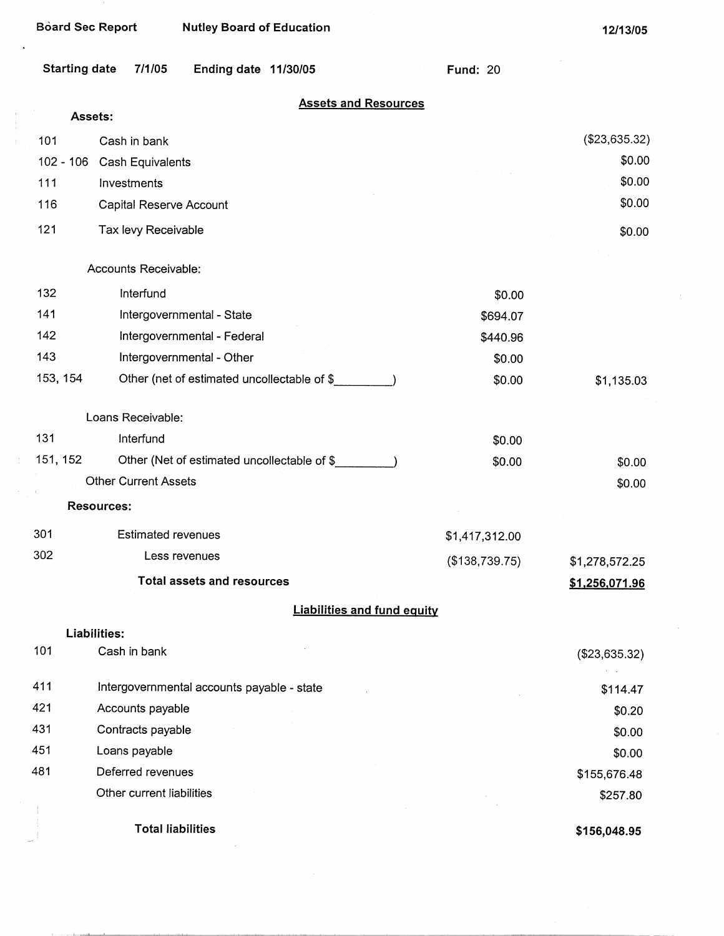$\overline{\mathcal{I}}$ 

| <b>Board Sec Report</b> | <b>Nutley Board of Education</b>            |                 | 12/13/05       |
|-------------------------|---------------------------------------------|-----------------|----------------|
| <b>Starting date</b>    | 7/1/05<br>Ending date 11/30/05              | <b>Fund: 20</b> |                |
|                         | <b>Assets and Resources</b><br>Assets:      |                 |                |
| 101                     | Cash in bank                                |                 | (\$23,635.32)  |
| $102 - 106$             | Cash Equivalents                            |                 | \$0.00         |
| 111                     | Investments                                 |                 | \$0.00         |
| 116                     | Capital Reserve Account                     |                 | \$0.00         |
| 121                     | Tax levy Receivable                         |                 | \$0.00         |
|                         | Accounts Receivable:                        |                 |                |
| 132                     | Interfund                                   | \$0.00          |                |
| 141                     | Intergovernmental - State                   | \$694.07        |                |
| 142                     | Intergovernmental - Federal                 | \$440.96        |                |
| 143                     | Intergovernmental - Other                   | \$0.00          |                |
| 153, 154                | Other (net of estimated uncollectable of \$ | \$0.00          | \$1,135.03     |
|                         | Loans Receivable:                           |                 |                |
| 131                     | Interfund                                   | \$0.00          |                |
| 151, 152                | Other (Net of estimated uncollectable of \$ | \$0.00          | \$0.00         |
|                         | <b>Other Current Assets</b>                 |                 | \$0.00         |
|                         | <b>Resources:</b>                           |                 |                |
| 301                     | <b>Estimated revenues</b>                   | \$1,417,312.00  |                |
| 302                     | Less revenues                               | (\$138,739.75)  | \$1,278,572.25 |
|                         | <b>Total assets and resources</b>           |                 | \$1,256,071.96 |
|                         | <b>Liabilities and fund equity</b>          |                 |                |
| 101                     | Liabilities:<br>Cash in bank                |                 |                |
|                         |                                             |                 | (\$23,635.32)  |
| 411                     | Intergovernmental accounts payable - state  |                 | \$114.47       |
| 421                     | Accounts payable                            |                 | \$0.20         |
| 431                     | Contracts payable                           |                 | \$0.00         |
| 451                     | Loans payable                               |                 | \$0.00         |
| 481                     | Deferred revenues                           |                 | \$155,676.48   |
|                         | Other current liabilities                   |                 | \$257.80       |
|                         | <b>Total liabilities</b>                    |                 | \$156,048.95   |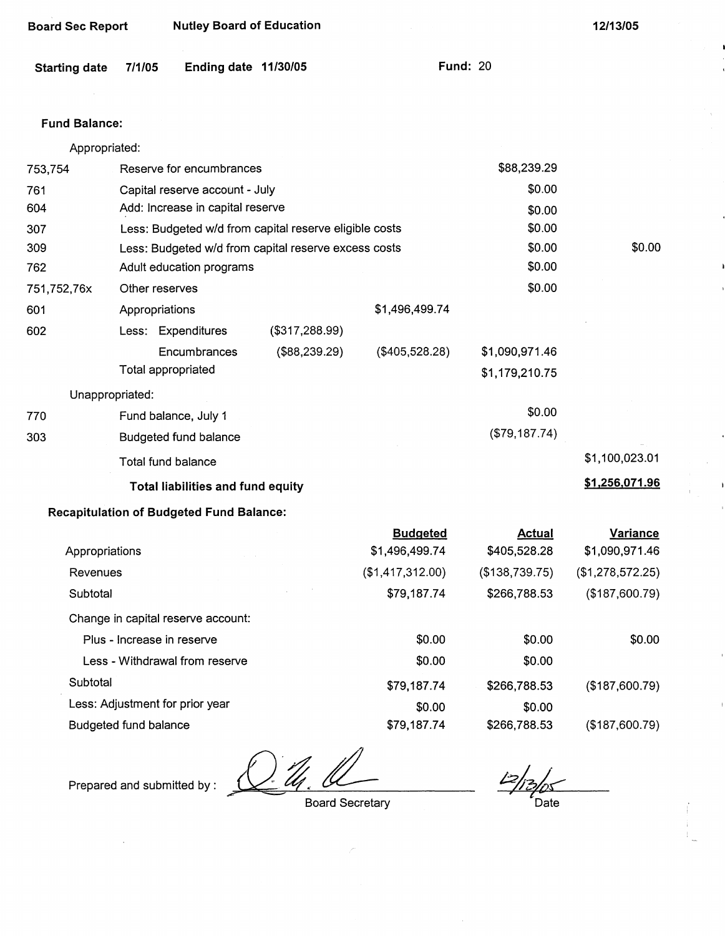| <b>Board Sec Report</b> |                            | <b>Nutley Board of Education</b>                |                                                        |                  |                                  | 12/13/05         |
|-------------------------|----------------------------|-------------------------------------------------|--------------------------------------------------------|------------------|----------------------------------|------------------|
| <b>Starting date</b>    | 7/1/05                     | Ending date 11/30/05                            |                                                        |                  | <b>Fund: 20</b>                  |                  |
| <b>Fund Balance:</b>    |                            |                                                 |                                                        |                  |                                  |                  |
| Appropriated:           |                            |                                                 |                                                        |                  |                                  |                  |
| 753,754                 |                            | Reserve for encumbrances                        |                                                        |                  | \$88,239.29                      |                  |
| 761                     |                            | Capital reserve account - July                  |                                                        |                  | \$0.00                           |                  |
| 604                     |                            | Add: Increase in capital reserve                |                                                        |                  | \$0.00                           |                  |
| 307                     |                            |                                                 | Less: Budgeted w/d from capital reserve eligible costs |                  | \$0.00                           |                  |
| 309                     |                            |                                                 | Less: Budgeted w/d from capital reserve excess costs   |                  | \$0.00                           | \$0.00           |
| 762                     |                            | Adult education programs                        |                                                        |                  | \$0.00                           |                  |
| 751,752,76x             | Other reserves             |                                                 |                                                        |                  | \$0.00                           |                  |
| 601                     | Appropriations             |                                                 |                                                        | \$1,496,499.74   |                                  |                  |
| 602                     |                            | Less: Expenditures                              | (\$317,288.99)                                         |                  |                                  |                  |
|                         | Total appropriated         | Encumbrances                                    | (\$88,239.29)                                          | (\$405,528.28)   | \$1,090,971.46<br>\$1,179,210.75 |                  |
| Unappropriated:         |                            |                                                 |                                                        |                  |                                  |                  |
| 770                     |                            | Fund balance, July 1                            |                                                        |                  | \$0.00                           |                  |
| 303                     |                            | <b>Budgeted fund balance</b>                    |                                                        |                  | (\$79,187.74)                    |                  |
|                         | Total fund balance         |                                                 |                                                        |                  |                                  | \$1,100,023.01   |
|                         |                            | <b>Total liabilities and fund equity</b>        |                                                        |                  |                                  | \$1,256,071.96   |
|                         |                            | <b>Recapitulation of Budgeted Fund Balance:</b> |                                                        |                  |                                  |                  |
|                         |                            |                                                 |                                                        | <b>Budgeted</b>  | <u>Actual</u>                    | <b>Variance</b>  |
| Appropriations          |                            |                                                 |                                                        | \$1,496,499.74   | \$405,528.28                     | \$1,090,971.46   |
| Revenues                |                            |                                                 |                                                        | (\$1,417,312.00) | (\$138,739.75)                   | (\$1,278,572.25) |
| Subtotal                |                            |                                                 |                                                        | \$79,187.74      | \$266,788.53                     | (\$187,600.79)   |
|                         |                            | Change in capital reserve account:              |                                                        |                  |                                  |                  |
|                         | Plus - Increase in reserve |                                                 |                                                        | \$0.00           | \$0.00                           | \$0.00           |
|                         |                            | Less - Withdrawal from reserve                  |                                                        | \$0.00           | \$0.00                           |                  |

Less: Adjustment for prior year

**Subtotal** 

Budgeted fund balance

Prepared and submitted by :

Board Secretary

\$79,187.74

\$0.00 \$79,187.74

Date

\$266,788.53

\$266,788.53

\$0.00

{\$187,600.79)

(\$187,600.79)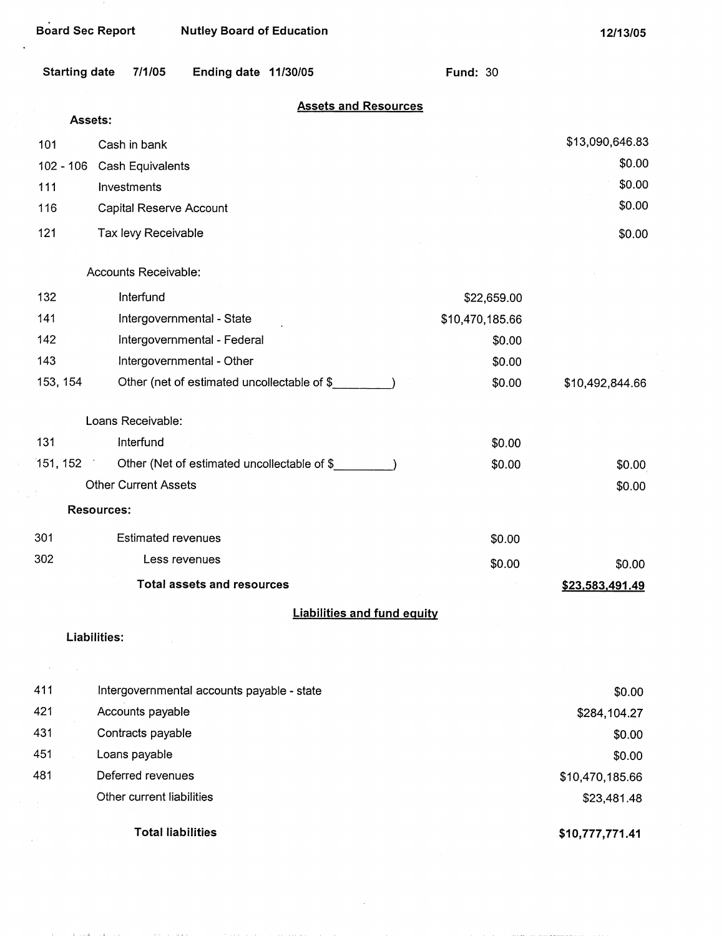**12/13/05** 

| <b>Starting date</b> | 7/1/05                                     | Ending date 11/30/05                        |                                    | <b>Fund: 30</b> |                 |
|----------------------|--------------------------------------------|---------------------------------------------|------------------------------------|-----------------|-----------------|
| Assets:              |                                            |                                             | <b>Assets and Resources</b>        |                 |                 |
| 101                  | Cash in bank                               |                                             |                                    |                 | \$13,090,646.83 |
| $102 - 106$          | Cash Equivalents                           |                                             |                                    |                 | \$0.00          |
| 111                  | Investments                                |                                             |                                    |                 | \$0.00          |
| 116                  | Capital Reserve Account                    |                                             |                                    |                 | \$0.00          |
| 121                  | Tax levy Receivable                        |                                             |                                    |                 | \$0.00          |
|                      | Accounts Receivable:                       |                                             |                                    |                 |                 |
| 132                  | Interfund                                  |                                             |                                    | \$22,659.00     |                 |
| 141                  |                                            | Intergovernmental - State                   |                                    | \$10,470,185.66 |                 |
| 142                  |                                            | Intergovernmental - Federal                 |                                    | \$0.00          |                 |
| 143                  |                                            | Intergovernmental - Other                   |                                    | \$0.00          |                 |
| 153, 154             |                                            | Other (net of estimated uncollectable of \$ |                                    | \$0.00          | \$10,492,844.66 |
|                      | Loans Receivable:                          |                                             |                                    |                 |                 |
| 131                  | Interfund                                  |                                             |                                    | \$0.00          |                 |
| 151, 152             | A.                                         | Other (Net of estimated uncollectable of \$ |                                    | \$0.00          | \$0.00          |
|                      | <b>Other Current Assets</b>                |                                             |                                    |                 | \$0.00          |
|                      | <b>Resources:</b>                          |                                             |                                    |                 |                 |
| 301                  | <b>Estimated revenues</b>                  |                                             |                                    | \$0.00          |                 |
| 302                  | Less revenues                              |                                             |                                    | \$0.00          | \$0.00          |
|                      |                                            | <b>Total assets and resources</b>           |                                    |                 | \$23,583,491.49 |
|                      |                                            |                                             | <b>Liabilities and fund equity</b> |                 |                 |
|                      | Liabilities:                               |                                             |                                    |                 |                 |
|                      |                                            |                                             |                                    |                 |                 |
| 411                  | Intergovernmental accounts payable - state |                                             |                                    |                 | \$0.00          |
| 421                  | Accounts payable                           |                                             |                                    |                 | \$284,104.27    |
| 431                  | Contracts payable                          |                                             |                                    |                 | \$0.00          |
| 451                  | Loans payable                              |                                             |                                    |                 | \$0.00          |
| 481                  | Deferred revenues                          |                                             |                                    |                 | \$10,470,185.66 |
|                      | Other current liabilities                  |                                             |                                    |                 | \$23,481.48     |
|                      |                                            |                                             |                                    |                 |                 |

 $\bar{z}$ 

**Total liabilities** 

 $\sim$   $\sim$ 

and a state of the con-

**\$10,777,771.41**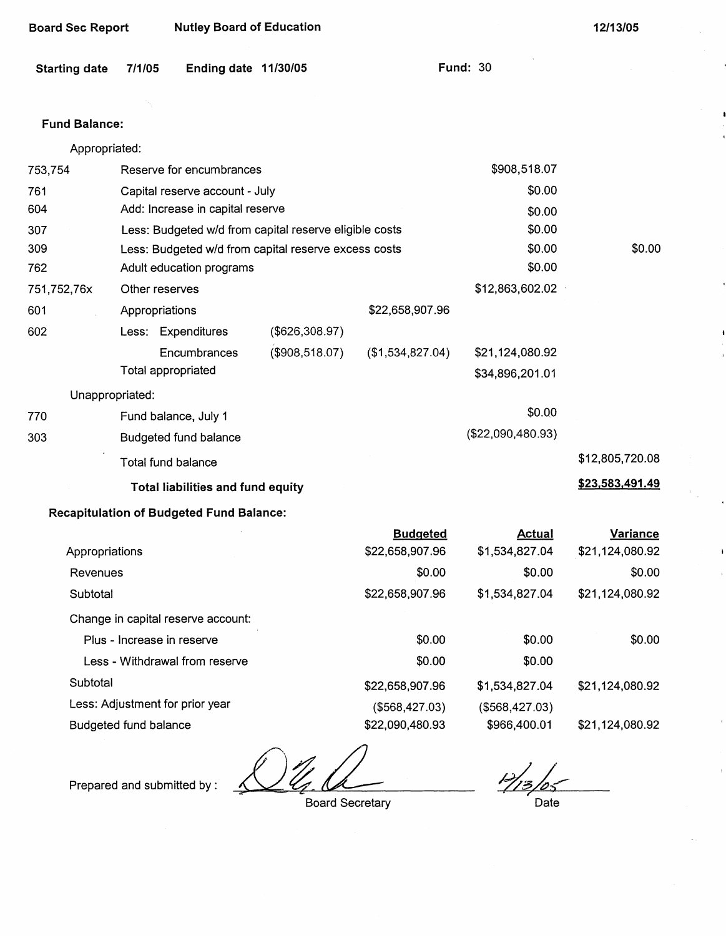| <b>Board Sec Report</b> |                              | <b>Nutley Board of Education</b>                       |                |                  |                                    | 12/13/05        |
|-------------------------|------------------------------|--------------------------------------------------------|----------------|------------------|------------------------------------|-----------------|
| <b>Starting date</b>    | 7/1/05                       | Ending date 11/30/05                                   |                |                  | <b>Fund: 30</b>                    |                 |
|                         |                              |                                                        |                |                  |                                    |                 |
| <b>Fund Balance:</b>    |                              |                                                        |                |                  |                                    |                 |
| Appropriated:           |                              |                                                        |                |                  |                                    |                 |
| 753,754                 |                              | Reserve for encumbrances                               |                |                  | \$908,518.07                       |                 |
| 761                     |                              | Capital reserve account - July                         |                |                  | \$0.00                             |                 |
| 604                     |                              | Add: Increase in capital reserve                       |                |                  | \$0.00                             |                 |
| 307                     |                              | Less: Budgeted w/d from capital reserve eligible costs |                |                  | \$0.00                             |                 |
| 309                     |                              | Less: Budgeted w/d from capital reserve excess costs   |                |                  | \$0.00                             | \$0.00          |
| 762                     |                              | Adult education programs                               |                |                  | \$0.00                             |                 |
| 751,752,76x             | Other reserves               |                                                        |                |                  | \$12,863,602.02                    |                 |
| 601                     | Appropriations               |                                                        |                | \$22,658,907.96  |                                    |                 |
| 602                     |                              | Less: Expenditures                                     | (\$626,308.97) |                  |                                    |                 |
|                         |                              | Encumbrances<br>Total appropriated                     | (\$908,518.07) | (\$1,534,827.04) | \$21,124,080.92<br>\$34,896,201.01 |                 |
| Unappropriated:         |                              |                                                        |                |                  |                                    |                 |
| 770                     |                              | Fund balance, July 1                                   |                |                  | \$0.00                             |                 |
| 303                     |                              | Budgeted fund balance                                  |                |                  | (\$22,090,480.93)                  |                 |
|                         |                              | Total fund balance                                     |                |                  |                                    | \$12,805,720.08 |
|                         |                              | <b>Total liabilities and fund equity</b>               |                |                  |                                    | \$23,583,491.49 |
|                         |                              | <b>Recapitulation of Budgeted Fund Balance:</b>        |                |                  |                                    |                 |
|                         |                              |                                                        |                | <b>Budgeted</b>  | <b>Actual</b>                      | <b>Variance</b> |
| Appropriations          |                              |                                                        |                | \$22,658,907.96  | \$1,534,827.04                     | \$21,124,080.92 |
| Revenues                |                              |                                                        |                | \$0.00           | \$0.00                             | \$0.00          |
| Subtotal                |                              |                                                        |                | \$22,658,907.96  | \$1,534,827.04                     | \$21,124,080.92 |
|                         |                              | Change in capital reserve account:                     |                |                  |                                    |                 |
|                         |                              | Plus - Increase in reserve                             |                | \$0.00           | \$0.00                             | \$0.00          |
|                         |                              | Less - Withdrawal from reserve                         |                | \$0.00           | \$0.00                             |                 |
| Subtotal                |                              |                                                        |                | \$22,658,907.96  | \$1,534,827.04                     | \$21,124,080.92 |
|                         |                              | Less: Adjustment for prior year                        |                | (\$568,427.03)   | (\$568,427.03)                     |                 |
|                         | <b>Budgeted fund balance</b> |                                                        |                | \$22,090,480.93  | \$966,400.01                       | \$21,124,080.92 |

 $\frac{1}{2}$   $\frac{1}{2}$  Board Secretary  $\measuredangle$ 

Prepared and submitted by :

 $H_{13}$ Date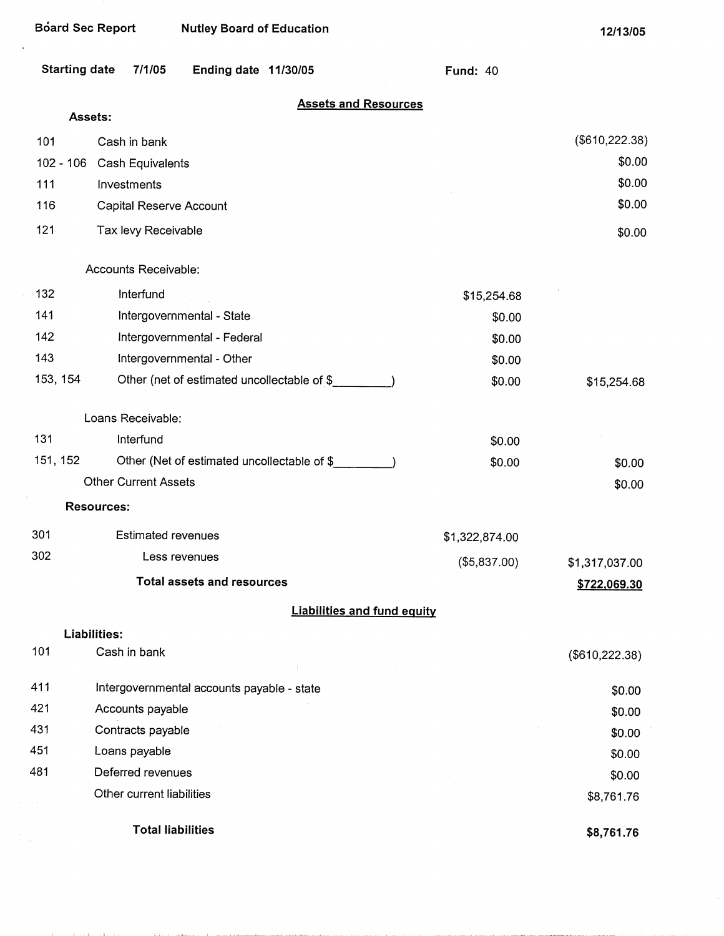| <b>Board Sec Report</b> | <b>Nutley Board of Education</b>            |                 | 12/13/05        |
|-------------------------|---------------------------------------------|-----------------|-----------------|
| <b>Starting date</b>    | 7/1/05<br>Ending date 11/30/05              | <b>Fund: 40</b> |                 |
|                         | <b>Assets and Resources</b>                 |                 |                 |
| Assets:                 |                                             |                 |                 |
| 101                     | Cash in bank                                |                 | (\$610,222.38)  |
| $102 - 106$             | Cash Equivalents                            |                 | \$0.00          |
| 111                     | Investments                                 |                 | \$0.00          |
| 116                     | Capital Reserve Account                     |                 | \$0.00          |
| 121                     | Tax levy Receivable                         |                 | \$0.00          |
|                         | Accounts Receivable:                        |                 |                 |
| 132                     | Interfund                                   | \$15,254.68     |                 |
| 141                     | Intergovernmental - State                   | \$0.00          |                 |
| 142                     | Intergovernmental - Federal                 | \$0.00          |                 |
| 143                     | Intergovernmental - Other                   | \$0.00          |                 |
| 153, 154                | Other (net of estimated uncollectable of \$ | \$0.00          | \$15,254.68     |
|                         | Loans Receivable:                           |                 |                 |
| 131                     | Interfund                                   | \$0.00          |                 |
| 151, 152                | Other (Net of estimated uncollectable of \$ | \$0.00          | \$0.00          |
|                         | <b>Other Current Assets</b>                 |                 | \$0.00          |
|                         | <b>Resources:</b>                           |                 |                 |
| 301                     | <b>Estimated revenues</b>                   | \$1,322,874.00  |                 |
| 302                     | Less revenues                               | (\$5,837.00)    | \$1,317,037.00  |
|                         | <b>Total assets and resources</b>           |                 | \$722,069.30    |
|                         | <b>Liabilities and fund equity</b>          |                 |                 |
|                         | Liabilities:                                |                 |                 |
| 101                     | Cash in bank                                |                 | (\$610, 222.38) |
| 411                     | Intergovernmental accounts payable - state  |                 | \$0.00          |
| 421                     | Accounts payable                            |                 | \$0.00          |
| 431                     | Contracts payable                           |                 | \$0.00          |
| 451                     | Loans payable                               |                 | \$0.00          |
| 481                     | Deferred revenues                           |                 | \$0.00          |
|                         | Other current liabilities                   |                 | \$8,761.76      |
|                         | <b>Total liabilities</b>                    |                 | \$8,761.76      |

i,

and the companies and com-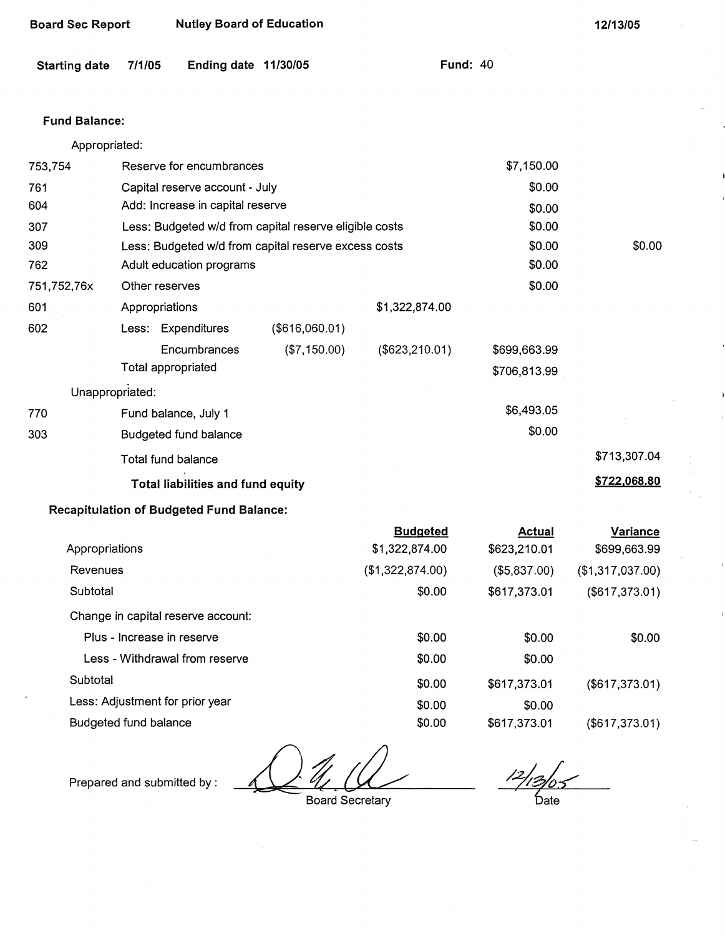| <b>Board Sec Report</b> |                | <b>Nutley Board of Education</b>                |                                                        |                  | 12/13/05        |                  |
|-------------------------|----------------|-------------------------------------------------|--------------------------------------------------------|------------------|-----------------|------------------|
| <b>Starting date</b>    | 7/1/05         | Ending date 11/30/05                            |                                                        |                  | <b>Fund: 40</b> |                  |
| <b>Fund Balance:</b>    |                |                                                 |                                                        |                  |                 |                  |
| Appropriated:           |                |                                                 |                                                        |                  |                 |                  |
| 753,754                 |                | Reserve for encumbrances                        |                                                        |                  | \$7,150.00      |                  |
| 761                     |                | Capital reserve account - July                  |                                                        |                  | \$0.00          |                  |
| 604                     |                | Add: Increase in capital reserve                |                                                        |                  | \$0.00          |                  |
| 307                     |                |                                                 | Less: Budgeted w/d from capital reserve eligible costs |                  | \$0.00          |                  |
| 309                     |                |                                                 | Less: Budgeted w/d from capital reserve excess costs   |                  | \$0.00          | \$0.00           |
| 762                     |                | Adult education programs                        |                                                        |                  | \$0.00          |                  |
| 751,752,76x             | Other reserves |                                                 |                                                        |                  | \$0.00          |                  |
| 601                     | Appropriations |                                                 |                                                        | \$1,322,874.00   |                 |                  |
| 602                     |                | Less: Expenditures                              | (\$616,060.01)                                         |                  |                 |                  |
|                         |                | Encumbrances                                    | (\$7,150.00)                                           | (\$623, 210.01)  | \$699,663.99    |                  |
|                         |                | <b>Total appropriated</b>                       |                                                        |                  | \$706,813.99    |                  |
| Unappropriated:         |                |                                                 |                                                        |                  |                 |                  |
| 770                     |                | Fund balance, July 1                            |                                                        |                  | \$6,493.05      |                  |
| 303                     |                | Budgeted fund balance                           |                                                        |                  | \$0.00          |                  |
|                         |                | Total fund balance                              |                                                        |                  |                 | \$713,307.04     |
|                         |                | <b>Total liabilities and fund equity</b>        |                                                        |                  |                 | \$722,068.80     |
|                         |                | <b>Recapitulation of Budgeted Fund Balance:</b> |                                                        |                  |                 |                  |
|                         |                |                                                 |                                                        | <b>Budgeted</b>  | <b>Actual</b>   | Variance         |
| Appropriations          |                |                                                 |                                                        | \$1,322,874.00   | \$623,210.01    | \$699,663.99     |
| Revenues                |                |                                                 |                                                        | (\$1,322,874.00) | (\$5,837.00)    | (\$1,317,037.00) |
| Subtotal                |                |                                                 |                                                        | \$0.00           | \$617,373.01    | (\$617,373.01)   |

Change in capital reserve account:

| Plus - Increase in reserve      | \$0.00 | \$0.00       | \$0.00         |
|---------------------------------|--------|--------------|----------------|
| Less - Withdrawal from reserve  | \$0.00 | \$0.00       |                |
| Subtotal                        | \$0.00 | \$617,373.01 | (\$617,373.01) |
| Less: Adjustment for prior year | \$0.00 | \$0.00       |                |
| Budgeted fund balance           | \$0.00 | \$617,373.01 | (\$617,373.01) |

Prepared and submitted by :

Board Secretary

· bate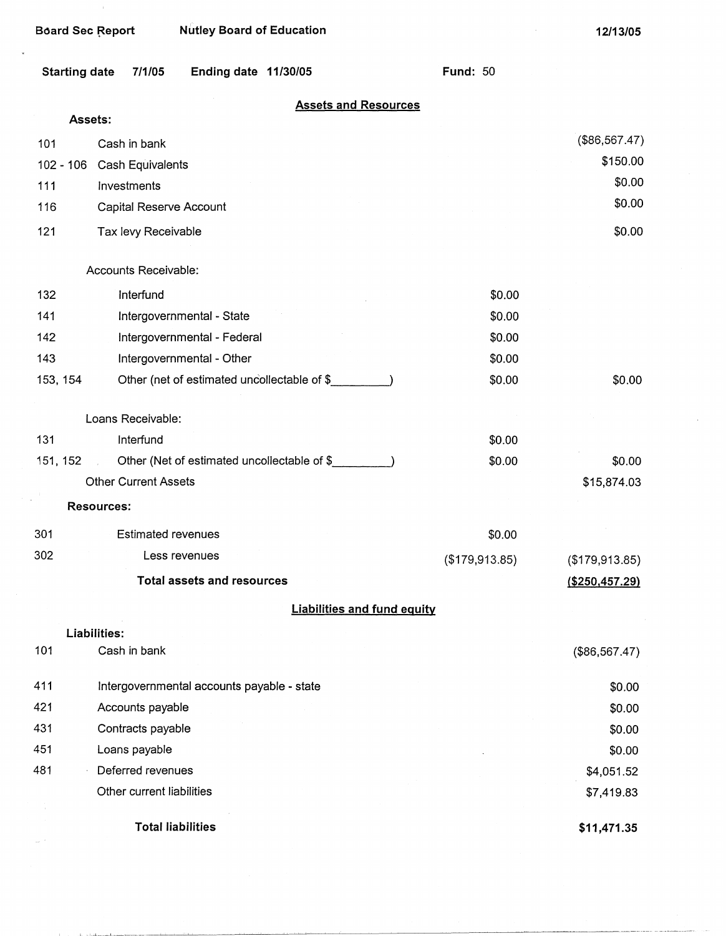|          | <b>Starting date</b> | 7/1/05                      | Ending date 11/30/05                        |                                    | <b>Fund: 50</b> |                 |
|----------|----------------------|-----------------------------|---------------------------------------------|------------------------------------|-----------------|-----------------|
|          | Assets:              |                             |                                             | <b>Assets and Resources</b>        |                 |                 |
| 101      |                      | Cash in bank                |                                             |                                    |                 | (\$86,567.47)   |
|          | $102 - 106$          | Cash Equivalents            |                                             |                                    |                 | \$150.00        |
| 111      |                      | Investments                 |                                             |                                    |                 | \$0.00          |
| 116      |                      | Capital Reserve Account     |                                             |                                    |                 | \$0.00          |
| 121      |                      | Tax levy Receivable         |                                             |                                    |                 | \$0.00          |
|          |                      | Accounts Receivable:        |                                             |                                    |                 |                 |
| 132      |                      | Interfund                   |                                             |                                    | \$0.00          |                 |
| 141      |                      |                             | Intergovernmental - State                   |                                    | \$0.00          |                 |
| 142      |                      |                             | Intergovernmental - Federal                 |                                    | \$0.00          |                 |
| 143      |                      |                             | Intergovernmental - Other                   |                                    | \$0.00          |                 |
| 153, 154 |                      |                             | Other (net of estimated uncollectable of \$ |                                    | \$0.00          | \$0.00          |
|          |                      | Loans Receivable:           |                                             |                                    |                 |                 |
| 131      |                      | Interfund                   |                                             |                                    | \$0.00          |                 |
| 151, 152 |                      |                             | Other (Net of estimated uncollectable of \$ |                                    | \$0.00          | \$0.00          |
|          |                      | <b>Other Current Assets</b> |                                             |                                    |                 | \$15,874.03     |
|          | <b>Resources:</b>    |                             |                                             |                                    |                 |                 |
| 301      |                      | <b>Estimated revenues</b>   |                                             |                                    | \$0.00          |                 |
| 302      |                      | Less revenues               |                                             |                                    | (\$179,913.85)  | (\$179,913.85)  |
|          |                      |                             | <b>Total assets and resources</b>           |                                    |                 | ( \$250,457.29) |
|          |                      |                             |                                             | <b>Liabilities and fund equity</b> |                 |                 |
|          | Liabilities:         |                             |                                             |                                    |                 |                 |
| 101      |                      | Cash in bank                |                                             |                                    |                 | (\$86,567.47)   |
| 411      |                      |                             | Intergovernmental accounts payable - state  |                                    |                 | \$0.00          |
| 421      |                      | Accounts payable            |                                             |                                    |                 | \$0.00          |
| 431      |                      | Contracts payable           |                                             |                                    |                 | \$0.00          |
| 451      |                      | Loans payable               |                                             |                                    |                 | \$0.00          |
| 481      |                      | Deferred revenues           |                                             |                                    |                 | \$4,051.52      |
|          |                      | Other current liabilities   |                                             |                                    |                 | \$7,419.83      |

**Total liabilities** 

**\$11,471.35**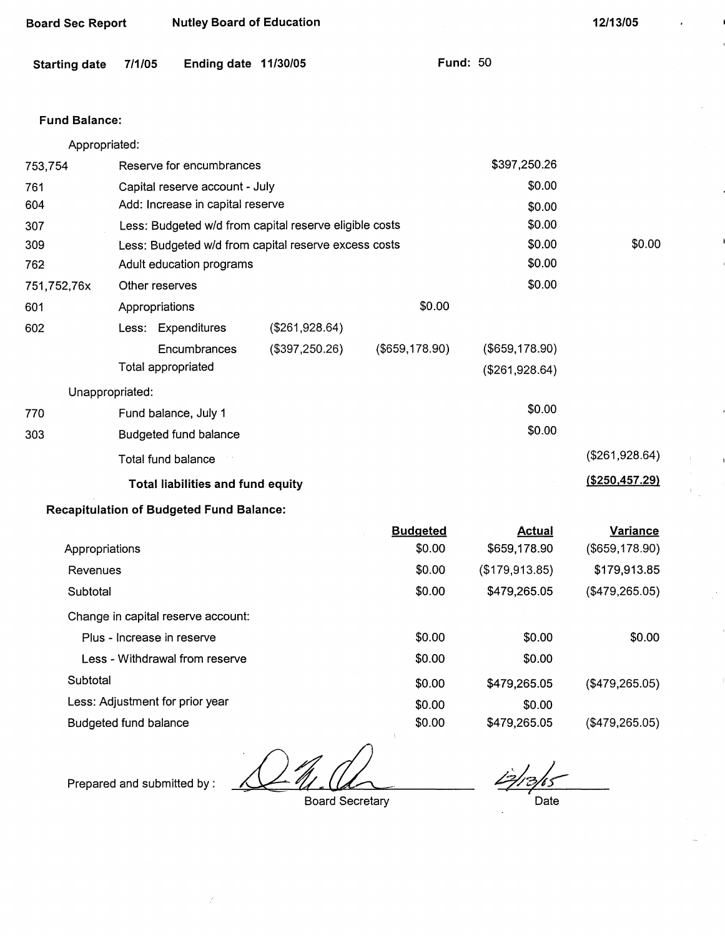| <b>Board Sec Report</b> |                            | <b>Nutley Board of Education</b>                |                                                        |                   |                 | 12/13/05        |
|-------------------------|----------------------------|-------------------------------------------------|--------------------------------------------------------|-------------------|-----------------|-----------------|
| <b>Starting date</b>    | 7/1/05                     | Ending date 11/30/05                            |                                                        |                   | <b>Fund: 50</b> |                 |
| <b>Fund Balance:</b>    |                            |                                                 |                                                        |                   |                 |                 |
| Appropriated:           |                            |                                                 |                                                        |                   |                 |                 |
| 753,754                 |                            | Reserve for encumbrances                        |                                                        |                   | \$397,250.26    |                 |
| 761                     |                            | Capital reserve account - July                  |                                                        |                   | \$0.00          |                 |
| 604                     |                            | Add: Increase in capital reserve                |                                                        |                   | \$0.00          |                 |
| 307                     |                            |                                                 | Less: Budgeted w/d from capital reserve eligible costs |                   | \$0.00          |                 |
| 309                     |                            |                                                 | Less: Budgeted w/d from capital reserve excess costs   |                   | \$0.00          | \$0.00          |
| 762                     |                            | Adult education programs                        |                                                        |                   | \$0.00          |                 |
| 751,752,76x             | Other reserves             |                                                 |                                                        |                   | \$0.00          |                 |
| 601                     | Appropriations             |                                                 |                                                        | \$0.00            |                 |                 |
| 602                     |                            | Less: Expenditures                              | (\$261,928.64)                                         |                   |                 |                 |
|                         |                            | Encumbrances                                    | (\$397,250.26)                                         | $($ \$659,178.90) | (\$659,178.90)  |                 |
|                         |                            | Total appropriated                              |                                                        |                   | (\$261,928.64)  |                 |
| Unappropriated:         |                            |                                                 |                                                        |                   |                 |                 |
| 770                     |                            | Fund balance, July 1                            |                                                        |                   | \$0.00          |                 |
| 303                     |                            | Budgeted fund balance                           |                                                        |                   | \$0.00          |                 |
|                         |                            | Total fund balance                              |                                                        |                   |                 | (\$261,928.64)  |
|                         |                            | <b>Total liabilities and fund equity</b>        |                                                        |                   |                 | (\$250,457.29)  |
|                         |                            | <b>Recapitulation of Budgeted Fund Balance:</b> |                                                        |                   |                 |                 |
|                         |                            |                                                 |                                                        | <b>Budgeted</b>   | <b>Actual</b>   | <b>Variance</b> |
| Appropriations          |                            |                                                 |                                                        | \$0.00            | \$659,178.90    | (\$659,178.90)  |
| Revenues                |                            |                                                 |                                                        | \$0.00            | (\$179,913.85)  | \$179,913.85    |
| Subtotal                |                            |                                                 |                                                        | \$0.00            | \$479,265.05    | (\$479,265.05)  |
|                         |                            | Change in capital reserve account:              |                                                        |                   |                 |                 |
|                         | Plus - Increase in reserve |                                                 |                                                        | \$0.00            | \$0.00          | \$0.00          |

|                                    | Duugeleu | Auuai          | <b>Valiative</b> |
|------------------------------------|----------|----------------|------------------|
| Appropriations                     | \$0.00   | \$659,178.90   | (\$659,178.90)   |
| Revenues                           | \$0.00   | (\$179,913.85) | \$179,913.85     |
| Subtotal                           | \$0.00   | \$479,265.05   | (\$479,265.05)   |
| Change in capital reserve account: |          |                |                  |
| Plus - Increase in reserve         | \$0.00   | \$0.00         | \$0.00           |
| Less - Withdrawal from reserve     | \$0.00   | \$0.00         |                  |
| Subtotal                           | \$0.00   | \$479,265.05   | (\$479,265.05)   |
| Less: Adjustment for prior year    | \$0.00   | \$0.00         |                  |
| Budgeted fund balance              | \$0.00   | \$479,265.05   | (\$479,265.05)   |
|                                    |          |                |                  |

Prepared and submitted by:

2

Board Secretary

 $\frac{1}{2}$ /13/15 Date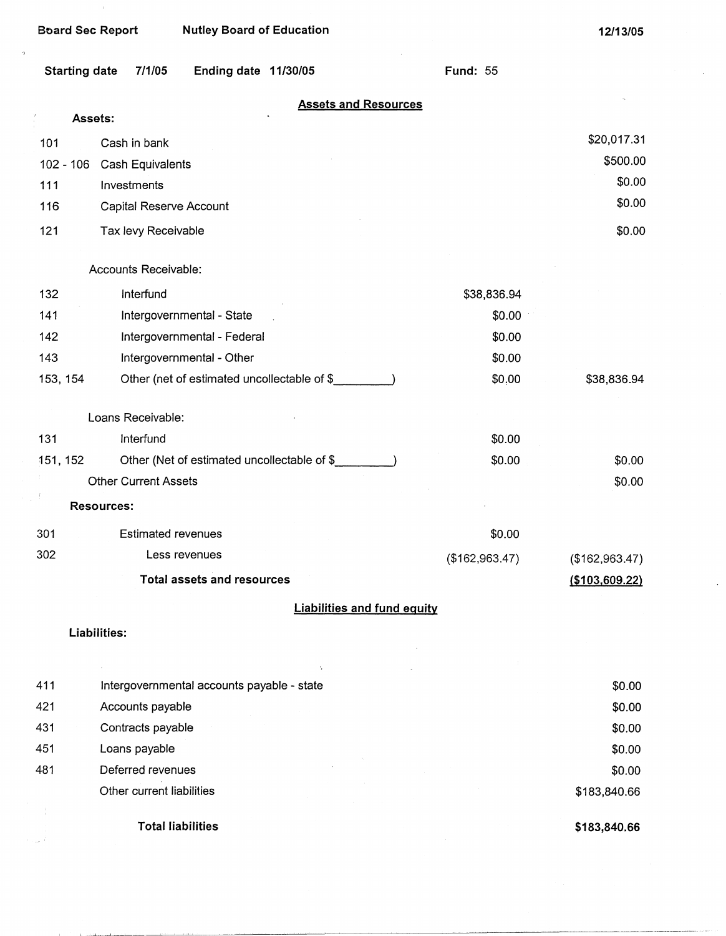$\overline{a}$ 

 $\omega_{\rm{eff}}=7$ 

| <b>Starting date</b> | 7/1/05                      | Ending date 11/30/05                        |                                    |  | <b>Fund: 55</b> |                  |
|----------------------|-----------------------------|---------------------------------------------|------------------------------------|--|-----------------|------------------|
| Assets:              |                             |                                             | <b>Assets and Resources</b>        |  |                 |                  |
|                      |                             |                                             |                                    |  |                 |                  |
| 101                  | Cash in bank                |                                             |                                    |  |                 | \$20,017.31      |
| $102 - 106$          | Cash Equivalents            |                                             |                                    |  |                 | \$500.00         |
| 111                  | Investments                 |                                             |                                    |  |                 | \$0.00<br>\$0.00 |
| 116                  | Capital Reserve Account     |                                             |                                    |  |                 |                  |
| 121                  | Tax levy Receivable         |                                             |                                    |  |                 | \$0.00           |
|                      | Accounts Receivable:        |                                             |                                    |  |                 |                  |
| 132                  | Interfund                   |                                             |                                    |  | \$38,836.94     |                  |
| 141                  |                             | Intergovernmental - State                   |                                    |  | \$0.00          |                  |
| 142                  |                             | Intergovernmental - Federal                 |                                    |  | \$0.00          |                  |
| 143                  |                             | Intergovernmental - Other                   |                                    |  | \$0.00          |                  |
| 153, 154             |                             | Other (net of estimated uncollectable of \$ |                                    |  | \$0,00          | \$38,836.94      |
|                      | Loans Receivable:           |                                             |                                    |  |                 |                  |
| 131                  | Interfund                   |                                             |                                    |  | \$0.00          |                  |
| 151, 152             |                             | Other (Net of estimated uncollectable of \$ |                                    |  | \$0.00          | \$0.00           |
|                      | <b>Other Current Assets</b> |                                             |                                    |  |                 | \$0.00           |
|                      | <b>Resources:</b>           |                                             |                                    |  |                 |                  |
| 301                  | <b>Estimated revenues</b>   |                                             |                                    |  | \$0.00          |                  |
| 302                  |                             | Less revenues                               |                                    |  | (\$162,963.47)  | (\$162,963.47)   |
|                      |                             | <b>Total assets and resources</b>           |                                    |  |                 | (\$103,609.22)   |
|                      |                             |                                             | <b>Liabilities and fund equity</b> |  |                 |                  |
|                      | Liabilities:                |                                             |                                    |  |                 |                  |

| 411 | Intergovernmental accounts payable - state | \$0.00       |
|-----|--------------------------------------------|--------------|
| 421 | Accounts payable                           | \$0.00       |
| 431 | Contracts payable                          | \$0.00       |
| 451 | Loans payable                              | \$0.00       |
| 481 | Deferred revenues                          | \$0.00       |
|     | Other current liabilities                  | \$183,840.66 |
|     |                                            |              |
|     | <b>Total liabilities</b>                   | \$183,840.66 |

ś,